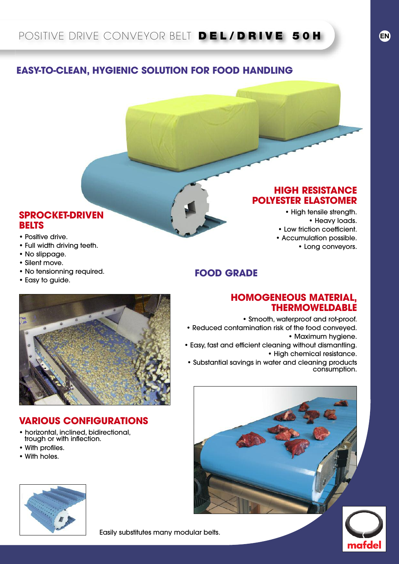## **EASY-TO-CLEAN, HYGIENIC SOLUTION FOR FOOD HANDLING**

#### **SPROCKET-DRIVEN BELTS**

- Positive drive.
- Full width driving teeth.
- No slippage.
- Silent move.
- No tensionning required.
- Easy to guide.

### **HIGH RESISTANCE POLYESTER ELASTOMER**

**HOMOGENEOUS MATERIAL,**

• Reduced contamination risk of the food conveyed.

**FOOD GRADE**

• Easy, fast and efficient cleaning without dismantling.

• Substantial savings in water and cleaning products

• Smooth, waterproof and rot-proof.

• High tensile strength. • Heavy loads. • Low friction coefficient. • Accumulation possible. • Long conveyors.

**THERMOWELDABLE**

• High chemical resistance.

• Maximum hygiene.

### **VARIOUS CONFIGURATIONS**

- horizontal, inclined, bidirectional, trough or with inflection.
- With profiles.
- With holes.





consumption.

mafde